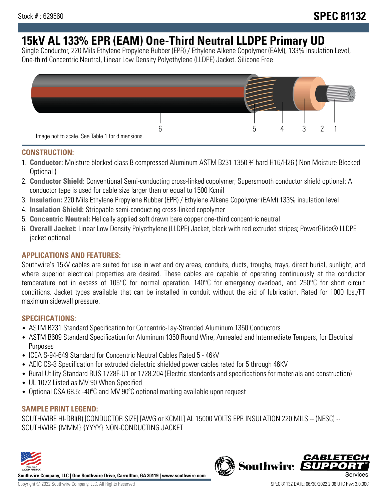# **15kV AL 133% EPR (EAM) One-Third Neutral LLDPE Primary UD**

Single Conductor, 220 Mils Ethylene Propylene Rubber (EPR) / Ethylene Alkene Copolymer (EAM), 133% Insulation Level, One-third Concentric Neutral, Linear Low Density Polyethylene (LLDPE) Jacket. Silicone Free



## **CONSTRUCTION:**

- 1. **Conductor:** Moisture blocked class B compressed Aluminum ASTM B231 1350 ¾ hard H16/H26 ( Non Moisture Blocked Optional )
- 2. **Conductor Shield:** Conventional Semi-conducting cross-linked copolymer; Supersmooth conductor shield optional; A conductor tape is used for cable size larger than or equal to 1500 Kcmil
- 3. **Insulation:** 220 Mils Ethylene Propylene Rubber (EPR) / Ethylene Alkene Copolymer (EAM) 133% insulation level
- 4. **Insulation Shield:** Strippable semi-conducting cross-linked copolymer
- 5. **Concentric Neutral:** Helically applied soft drawn bare copper one-third concentric neutral
- 6. **Overall Jacket:** Linear Low Density Polyethylene (LLDPE) Jacket, black with red extruded stripes; PowerGlide® LLDPE jacket optional

# **APPLICATIONS AND FEATURES:**

Southwire's 15kV cables are suited for use in wet and dry areas, conduits, ducts, troughs, trays, direct burial, sunlight, and where superior electrical properties are desired. These cables are capable of operating continuously at the conductor temperature not in excess of 105°C for normal operation. 140°C for emergency overload, and 250°C for short circuit conditions. Jacket types available that can be installed in conduit without the aid of lubrication. Rated for 1000 lbs./FT maximum sidewall pressure.

## **SPECIFICATIONS:**

- ASTM B231 Standard Specification for Concentric-Lay-Stranded Aluminum 1350 Conductors
- ASTM B609 Standard Specification for Aluminum 1350 Round Wire, Annealed and Intermediate Tempers, for Electrical Purposes
- ICEA S-94-649 Standard for Concentric Neutral Cables Rated 5 46kV
- AEIC CS-8 Specification for extruded dielectric shielded power cables rated for 5 through 46KV
- Rural Utility Standard RUS 1728F-U1 or 1728.204 (Electric standards and specifications for materials and construction)
- UL 1072 Listed as MV 90 When Specified
- Optional CSA 68.5: -40°C and MV 90°C optional marking available upon request

## **SAMPLE PRINT LEGEND:**

SOUTHWIRE HI-DRI(R) [CONDUCTOR SIZE] [AWG or KCMIL] AL 15000 VOLTS EPR INSULATION 220 MILS -- (NESC) -- SOUTHWIRE {MMM} {YYYY} NON-CONDUCTING JACKET



**Southwire Company, LLC | One Southwire Drive, Carrollton, GA 30119 | www.southwire.com**